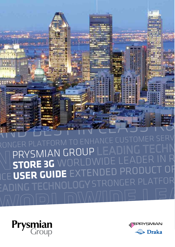



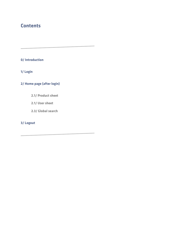## **Contents**

**[0/ Introduction](#page-2-0)** 

**[1/ Login](#page-3-0)** 

**[2/ Home page \(after login\)](#page-4-0)** 

- **[2.1/ Product sheet](#page-4-0)**
- **[2.1/ User sheet](#page-6-0)**
- **[2.3/ Global search](#page-7-0)**

**[3/ Logout](#page-8-0)**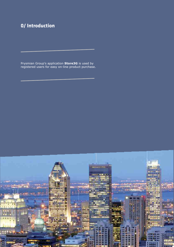# <span id="page-2-0"></span>**0/ Introduction**

Prysmian Group's application **Store3G** is used by registered users for easy on-line product purchase.

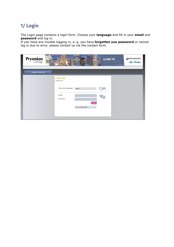### <span id="page-3-0"></span>**1/ Login**

The Login page contains a login form. Choose your language and fill in your email and password and log in.

If you have any trouble logging in, e. g. you have forgotten you password or cannot log in due to error, please contact us via the contact form.

| <b>Prysmian</b><br>Group | ATFORM TO ENHANCE CU<br>STORE 3G LEADH<br>NORLDWIDE L<br><b>EPRYSMIAN</b><br><b>Draka</b><br>NDED F                                      |
|--------------------------|------------------------------------------------------------------------------------------------------------------------------------------|
| Login to Store 3G        |                                                                                                                                          |
|                          | <b>Login box</b><br>Please, log in.<br>Choose your language:<br>English<br>Email:<br>Password:<br>Log in<br>Are you having trouble?<br>w |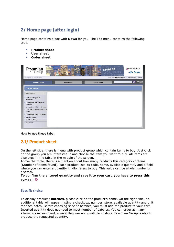## <span id="page-4-0"></span>**2/ Home page (after login)**

Home page contains a box with **News** for you. The Top menu contains the following tabs:

- **Product sheet**
- **User sheet**
- Order sheet



How to use these tabs:

### **2.1/ Product sheet**

On the left side, there is menu with product group which contain items to buy. Just click on the group you are interested in and choose the item you want to buy. All items are displayed in the table in the middle of the screen.

Above the table, there is a mention about how many products this category contains (Number of items found). Each product lists its code, name, available quantity and a field where you can enter a quantity in kilometers to buy. This value can be whole number or decimal.

#### To confirm the entered quantity and save it to your cart, you have to press this symbol: **D**

#### **Specific choice:**

To display product's **batches**, please click on the product's name. On the right side, an additional table will appear, listing a checkbox, number, store, available quantity and unit for each batch. Before choosing specific batches, you must add the product to your cart. Inserted quantity does not need to meet number of batches. You can order as many kilometers as you need, even if they are not available in stock. Prysmian Group is able to produce the requested quantity.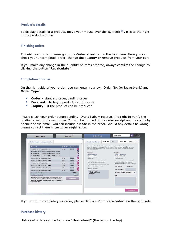#### **Product's details:**

To display details of a product, move your mouse over this symbol: **1**. It is to the right of the product's name.

#### **Finishing order:**

To finish your order, please go to the **Order sheet** tab in the top menu. Here you can check your uncompleted order, change the quantity or remove products from your cart.

If you make any change in the quantity of items ordered, always confirm the change by clicking the button "Recalculate".

#### **Completion of order:**

On the right side of your order, you can enter your own Order No. (or leave blank) and Order Type:

- $\blacksquare$  Order standard order/binding order
- Forecast to buy a product for future use
- **Inquiry** if the product can be produced

Please check your order before sending. Draka Kabely reserves the right to verify the binding effect of the sent order. You will be notified of the order receipt and its status by phone and via email. You can include a **Note** in the order. Should any details be wrong, please correct them in customer registration.

|                                                                                                                                     | Weight (kg) | <b>Kilometers</b>  |                           | Please check the order. DrakaKabely reserves the right to verify the binding effect of the<br>sent order. You will be notified of the order receipt and its status by phone and via email. |           |                                                                   |            |  |
|-------------------------------------------------------------------------------------------------------------------------------------|-------------|--------------------|---------------------------|--------------------------------------------------------------------------------------------------------------------------------------------------------------------------------------------|-----------|-------------------------------------------------------------------|------------|--|
| H07Z-K 1,50 IVORY RAL1015 BOX 3000M                                                                                                 | 217 kg      | 20,000             | O                         | You can include a Note in the order. Should any details be wrong, please correct them in<br>customer registration.                                                                         |           |                                                                   |            |  |
| No.: 0021967984512, Length: 5.300, Unit: 0.100, Standard                                                                            |             |                    | $\boldsymbol{\Xi}$        |                                                                                                                                                                                            |           |                                                                   |            |  |
| No.: 0021967984513, Length: 7.300, Unit: 0.200, Standard                                                                            |             |                    | $\left[\mathbf{z}\right]$ | <b>Customer:</b><br>Peterson & Sons                                                                                                                                                        | Supplier: | Draka Kabely s.r.o.                                               |            |  |
| No.: 0021967984514, Length: 9.300, Unit: 0.800, Standard                                                                            |             |                    | $\boldsymbol{\Xi}$        | Watertower 245/6                                                                                                                                                                           |           | Třebíčská 777 / 99                                                |            |  |
| H07Z-K 1.50 IVORY RAL1015 BOX 3000M                                                                                                 | 217 kg      | 20,000             | $\boldsymbol{\Xi}$        | 65W4 45 New Jersey<br>New Jersey                                                                                                                                                           |           | 59401 Velké Meziříčí<br>Czech Republic                            |            |  |
| H07Z-K 1.50 IVORY RAL1015 BOX 3000M                                                                                                 | 217 kg      | 20.000             | $\boldsymbol{\Xi}$        | Company reg. number: 68062206                                                                                                                                                              |           | Company reg. number: 61251071                                     |            |  |
| H07Z-K 1.50 IVORY RAL1015 BOX 3000M                                                                                                 | 217 kg      | 20.000             | $\boldsymbol{\Xi}$        | Tax reg. number: CZ68062206                                                                                                                                                                |           | Tax reg. number: 353-61251071<br>Account number: 5281990217/01007 |            |  |
| H07Z-K 1,50 IVORY RAL1015 BOX 3000M                                                                                                 | 217 kg      | 20.000             | $\boldsymbol{\Xi}$        | E-mail: richardir@petersonandsons.com<br>Phone: +0060 589 746 587                                                                                                                          |           | Date of order:                                                    | 13.04.2012 |  |
| H07Z-K 1.50 IVORY RAL1015 BOX 3000M                                                                                                 | 217 kg      | 20,000             | $\boldsymbol{\Xi}$        | Delivery address:                                                                                                                                                                          |           |                                                                   |            |  |
| H07Z-K 1.50 IVORY RAL1015 BOX 3000M                                                                                                 | 217 kg      | 20,000             | $\boxed{\mathbf{x}}$      | Watertower 245/6                                                                                                                                                                           |           | Date of dispatch:                                                 |            |  |
| Total length in kilometers ordered:                                                                                                 |             | 120,000 km         |                           | 65W4 45 New Jersey<br>New Jersey                                                                                                                                                           |           | Mode of transport: Customer                                       |            |  |
| Rough weight of the order:<br>1302 kg                                                                                               |             |                    |                           | Note                                                                                                                                                                                       |           |                                                                   |            |  |
| If you make any change in the quantity of items ordered, always                                                                     |             | <b>Recalculate</b> |                           |                                                                                                                                                                                            |           |                                                                   |            |  |
| confirm the change by clicking on the pushbutton "Recalculate".<br>If you want to complete your order, please move to Completion of |             |                    |                           |                                                                                                                                                                                            |           |                                                                   |            |  |
| order in right pane.                                                                                                                |             |                    |                           |                                                                                                                                                                                            |           |                                                                   |            |  |

If you want to complete your order, please click on "Complete order" on the right side.

#### **Purchase history**

History of orders can be found on "User sheet" (the tab on the top).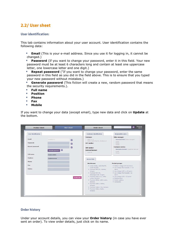### <span id="page-6-0"></span>**2.2/ User sheet**

#### **User identification:**

This tab contains information about your user account. User identification contains the following data:

**Email** (This is your e-mail address. Since you use it for logging in, it cannot be changed.)

**Password** (If you want to change your password, enter it in this field. Your new password must be at least 6 characters long and contain at least one uppercase letter, one lowercase letter and one digit.)

- **Repeat password** ("If you want to change your password, enter the same password in this field as you did in the field above. This is to ensure that you typed your new password without mistakes.)
- **Generate password** (This fiction will create a new, random password that means the security requirements.).
- $\blacksquare$  Full name
- **Position**
- **Phone**
- $F<sub>ax</sub>$
- **Mobile**

If you want to change your data (except email), type new data and click on Update at the bottom.

| <b>User identification</b>                                   |                                                                   |                             | <b>Customer identification</b>                                                                                                                                                                                                                                                                                                                                     | <b>Responsible sales</b>                                                                                                                                                                                                                                                                                         |
|--------------------------------------------------------------|-------------------------------------------------------------------|-----------------------------|--------------------------------------------------------------------------------------------------------------------------------------------------------------------------------------------------------------------------------------------------------------------------------------------------------------------------------------------------------------------|------------------------------------------------------------------------------------------------------------------------------------------------------------------------------------------------------------------------------------------------------------------------------------------------------------------|
| Email:<br>Password:<br><b>Repeat password:</b><br>Full name: | sona@xartcz<br>$\boxed{2}$<br>Generate password<br>Karásková Spôa | $\Omega$<br>Ω<br>$\sqrt{2}$ | <b>Customer:</b><br>XART s.r.o.<br>59401 Velké Meziříčí, Záviškova 1<br><b>VAT number:</b><br><b>ERP</b> number:<br><b>External/internal:</b><br>external                                                                                                                                                                                                          | Sales manager:<br>Janoušek Aleš (Sales manager)<br>Email:<br>Phone:<br>Mobile:<br><b>Customer service:</b><br>Karmazín Jaromír (Customer service)<br>Email:<br>Phone:                                                                                                                                            |
| Position:<br>Phone:                                          | Customer service                                                  |                             | <b>Access lists</b><br>Warehouses:                                                                                                                                                                                                                                                                                                                                 | <b>Product groups:</b>                                                                                                                                                                                                                                                                                           |
| Fax:<br>Mobile:                                              |                                                                   | Update data                 | ▶ Draka Kabely, Velké Meziříčí,<br>Czech Republic<br>Prysmian MKM Kft., Kistelek,<br>Hungary<br>Prysmian MKM Kft.,<br>Balassagyarmat, Hungary<br>Prysmian Kablo s.r.o., Veľké<br>Leváre, Slovakia<br>Prysmian OEKW, Veľké Leváre,<br>Slovakia<br>Prysmian Cabluri, Slatina,<br>Romania<br>Prysmian Cabluri, Cluj, Romania<br>▶ Prysmian Cabluri, Bacău,<br>Romania | Medium Voltage XLPE aluminum<br>$\triangleright$ Low Voltage Thermoplastic <= 25<br>somm<br>$\blacktriangleright$ Low Voltage XLPE <= 25 sqmm<br>▶ Low Voltage Thermoplastic >25<br>samm.<br>> Low Voltage XLPE > 25 sqmm<br>$\triangleright$ Building Wires<br>Pubblic Lighiting<br>$\triangleright$ Conductors |

#### **Order history**

Under your account details, you can view your **Order history** (in case you have ever sent an order). To view order details, just click on its name.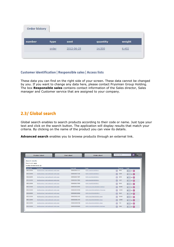<span id="page-7-0"></span>

| Order history | a pro |            |          |        |
|---------------|-------|------------|----------|--------|
| number        | type  | sent       | quantity | weight |
|               | order | 2012-06-25 | 14.500   | 6,402  |

#### **Customer identification | Responsible sales | Access lists**

These data you can find on the right side of your screen. These data cannot be changed by you. If you want to change any data here, please contact Prysmian Group Holding. The box Responsible sales contains contact information of the Sales director, Sales manager and Customer service that are assigned to your company.

### **2.3/ Global search**

Global search enables to search products according to their code or name. Just type your text and click on the search button. The application will display results that match your criteria. By clicking on the name of the product you can view its details.

Advanced search enables you to browse products through an external link.

| Number of items found: 12<br>group name          |               |                                      |   |          |                |                                   |
|--------------------------------------------------|---------------|--------------------------------------|---|----------|----------------|-----------------------------------|
|                                                  |               |                                      |   |          |                |                                   |
|                                                  | item code     | name                                 |   | quantity | order          |                                   |
| Building Wires / rigid traditional / multi-cores | 0000020017177 | NYM-J 3x6 RE 300/500 V               |   | 4491     | $\overline{0}$ | $km$ $+$                          |
| Building Wires / rigid traditional / multi-cores | 0000020017181 | NYM-J 5x6 RE 300/500 V               |   | 2308     | $\mathbf 0$    | $km$ $-$                          |
| Building Wires / rigid traditional / multi-cores | 0000020017887 | NYM-J 3x4 RE 300/500 V               |   | 3340     | $\mathbf{0}$   | $km$ $(+)$                        |
| Building Wires / rigid traditional / multi-cores | 0000020017891 | NYM-14x4 RE 300/500 V                | 同 | 1307     | $\circ$        | $km$ $+$                          |
| Building Wires / rigid traditional / multi-cores | 0000020017896 | NYM-J 4x6 RE 300/500 V               |   | 2340     | $\overline{0}$ | $km - 1$                          |
| Building Wires / rigid traditional / multi-cores | 0000020018353 | NYM-O 2x1,5 RE 300/500 V (SZ/k,b)    |   | 30680    | $\theta$       | $km - 1$                          |
| Building Wires / rigid traditional / multi-cores | 0000020018354 | NYM-J 3x2,5 RE 300/500 V (F/uv) ring |   | 10200    | $\circ$        | $km - 1$                          |
| Building Wires / rigid traditional / multi-cores | 0000020018922 | NYM-J 5x10 RE 300/500 V              | 偪 | 9164     | $\theta$       | $km$ $\left  \frac{1}{2} \right $ |
| Building Wires / rigid traditional / multi-cores | 0000020021432 | NYM-J 3x2.5 RE 300/500 V drum        |   | 20000    | $\theta$       | $km$ $(+)$                        |
| Building Wires / rigid traditional / multi-cores | 0000020021434 | NYM-J 5x2,5 RE 300/500 V drum        | 旧 | 12000    | $\theta$       | $km +$                            |
| Building Wires / rigid traditional / multi-cores | 0000020040788 | NYM-J 5x4.0 RE 300/500 V drum        |   | 730      | $\overline{0}$ | $km$ $+$                          |
|                                                  |               |                                      |   |          |                |                                   |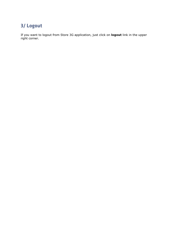## <span id="page-8-0"></span>**3/ Logout**

If you want to logout from Store 3G application, just click on **logout** link in the upper right corner.